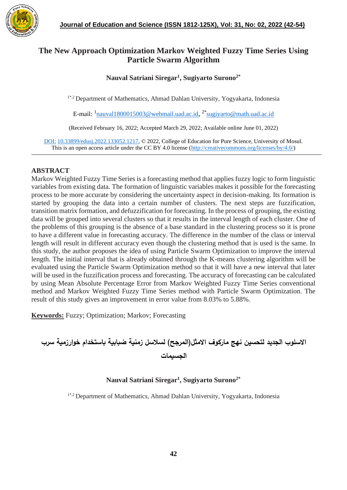

# **The New Approach Optimization Markov Weighted Fuzzy Time Series Using Particle Swarm Algorithm**

# **Nauval Satriani Siregar<sup>1</sup> , Sugiyarto Surono2\***

1\*,2 Department of Mathematics, Ahmad Dahlan University, Yogyakarta, Indonesia

E-mail: <sup>1</sup>[nauval1800015003@webmail.uad.ac.id](mailto:nauval1800015003@webmail.uad.ac.id), <sup>2\*</sup>[sugiyarto@math.uad.ac.id](mailto:sugiyarto@math.uad.ac.id)

(Received February 16, 2022; Accepted March 29, 2022; Available online June 01, 2022)

DOI: 10.33899/edusj.2022.133052.1217, © 2022, College of Education for Pure Science, University of Mosul. This is an open access article under the CC BY 4.0 license [\(http://creativecommons.org/licenses/by/4.0/\)](http://creativecommons.org/licenses/by/4.0/)

# **ABSTRACT**

Markov Weighted Fuzzy Time Series is a forecasting method that applies fuzzy logic to form linguistic variables from existing data. The formation of linguistic variables makes it possible for the forecasting process to be more accurate by considering the uncertainty aspect in decision-making. Its formation is started by grouping the data into a certain number of clusters. The next steps are fuzzification, transition matrix formation, and defuzzification for forecasting. In the process of grouping, the existing data will be grouped into several clusters so that it results in the interval length of each cluster. One of the problems of this grouping is the absence of a base standard in the clustering process so it is prone to have a different value in forecasting accuracy. The difference in the number of the class or interval length will result in different accuracy even though the clustering method that is used is the same. In this study, the author proposes the idea of using Particle Swarm Optimization to improve the interval length. The initial interval that is already obtained through the K-means clustering algorithm will be evaluated using the Particle Swarm Optimization method so that it will have a new interval that later will be used in the fuzzification process and forecasting. The accuracy of forecasting can be calculated by using Mean Absolute Percentage Error from Markov Weighted Fuzzy Time Series conventional method and Markov Weighted Fuzzy Time Series method with Particle Swarm Optimization. The result of this study gives an improvement in error value from 8.03% to 5.88%.

**Keywords:** Fuzzy; Optimization; Markov; Forecasting

**االسلوب الجديد لتحسين نهج ماركوف االمثل)المرجح( لسالسل زمنية ضبابية باستخدام خوارزمية سرب الجسيمات**

# **Nauval Satriani Siregar<sup>1</sup> , Sugiyarto Surono2\***

1\*,2 Department of Mathematics, Ahmad Dahlan University, Yogyakarta, Indonesia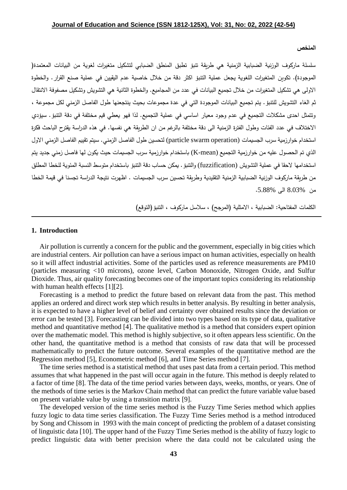#### **الملخص**

سلسلة ماركوف الوزنية الضبابية الزمنية هي طريقة تنبؤ تطبق المنطق الضبابي لتشكيل متغيرات لغوية من البيانات المعتمدة) الموجودة). تكوين المتغيرات اللغوية يجعل عملية التتبؤ اكثر دقة من خلال خاصية عدم اليقيين في عملية صنع القرار. والخطوة االولى هي تشكيل المتغيرات من خالل تجميع البيانات في عدد من المجاميع. والخطوة الثانية هي التشويش وتشكيل مصفوفة االنتقال ثم الغاء التشويش للتنبؤ. يتم تجميع البيانات الموجودة التي في عدة مجموعات بحيث ينتجعنها طول الفاصل الزمني لكل مجموعة ، وتتمثل احدى مشكالت التجميع في عدم وجود معيار اساسي في عملية التجميع. لذا فهو يعطي قيم مختلفة في دقة التنبؤ. سيؤدي الاختلاف في عدد الفئات وطول الفترة الزمنية الى دقة مختلفة بالرغم من ان الطريقة هي نفسها. في هذه الدراسة يقترح الباحث فكرة استخدام خوارزمية سرب الجسيمات (particle swarm operation) لتحسين طول الفاصل الزمني. سيتم تقييم الفاصل الزمني الاول الذي تم الحصول عليه من خوارزمية التجميع (mean-K (باستخدام خوارزمية سرب الجسيمات حيث يكون لها فاصل زمني جديد يتم استخدامها الحقا في عملية التشويش (fuzzification (والتنبؤ. يمكن حساب دقة التنبؤ باستخدام متوسط النسبة المئوية للخطا المطلق من طريقة ماركوف الوزنية الضبابية الزمنية التقليدية وطريقة تحسين سرب الجسيمات . اظهرت نتيجة الدراسة تجسنا في قيمة الخطا من 8.03% الى .5.88%

الكلمات المفتاحية: الضبابية ، الامثلية (المرجح) ، سلاسل ماركوف ، التتبؤ (التوقع)

### **1. Introduction**

Air pollution is currently a concern for the public and the government, especially in big cities which are industrial centers. Air pollution can have a serious impact on human activities, especially on health so it will affect industrial activities. Some of the particles used as reference measurements are PM10 (particles measuring <10 microns), ozone level, Carbon Monoxide, Nitrogen Oxide, and Sulfur Dioxide. Thus, air quality forecasting becomes one of the important topics considering its relationship with human health effects [1][2].

Forecasting is a method to predict the future based on relevant data from the past. This method applies an ordered and direct work step which results in better analysis. By resulting in better analysis, it is expected to have a higher level of belief and certainty over obtained results since the deviation or error can be tested [3]. Forecasting can be divided into two types based on its type of data, qualitative method and quantitative method [4]. The qualitative method is a method that considers expert opinion over the mathematic model. This method is highly subjective, so it often appears less scientific. On the other hand, the quantitative method is a method that consists of raw data that will be processed mathematically to predict the future outcome. Several examples of the quantitative method are the Regression method [5], Econometric method [6], and Time Series method [7].

The time series method is a statistical method that uses past data from a certain period. This method assumes that what happened in the past will occur again in the future. This method is deeply related to a factor of time [8]. The data of the time period varies between days, weeks, months, or years. One of the methods of time series is the Markov Chain method that can predict the future variable value based on present variable value by using a transition matrix [9].

The developed version of the time series method is the Fuzzy Time Series method which applies fuzzy logic to data time series classification. The Fuzzy Time Series method is a method introduced by Song and Chissom in 1993 with the main concept of predicting the problem of a dataset consisting of linguistic data [10]. The upper hand of the Fuzzy Time Series method is the ability of fuzzy logic to predict linguistic data with better precision where the data could not be calculated using the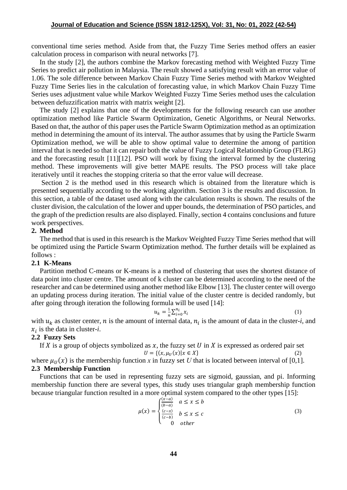conventional time series method. Aside from that, the Fuzzy Time Series method offers an easier calculation process in comparison with neural networks [7].

In the study [2], the authors combine the Markov forecasting method with Weighted Fuzzy Time Series to predict air pollution in Malaysia. The result showed a satisfying result with an error value of 1.06. The sole difference between Markov Chain Fuzzy Time Series method with Markov Weighted Fuzzy Time Series lies in the calculation of forecasting value, in which Markov Chain Fuzzy Time Series uses adjustment value while Markov Weighted Fuzzy Time Series method uses the calculation between defuzzification matrix with matrix weight [2].

The study [2] explains that one of the developments for the following research can use another optimization method like Particle Swarm Optimization, Genetic Algorithms, or Neural Networks. Based on that, the author of this paper uses the Particle Swarm Optimization method as an optimization method in determining the amount of its interval. The author assumes that by using the Particle Swarm Optimization method, we will be able to show optimal value to determine the among of partition interval that is needed so that it can repair both the value of Fuzzy Logical Relationship Group (FLRG) and the forecasting result [11][12]. PSO will work by fixing the interval formed by the clustering method. These improvements will give better MAPE results. The PSO process will take place iteratively until it reaches the stopping criteria so that the error value will decrease.

Section 2 is the method used in this research which is obtained from the literature which is presented sequentially according to the working algorithm. Section 3 is the results and discussion. In this section, a table of the dataset used along with the calculation results is shown. The results of the cluster division, the calculation of the lower and upper bounds, the determination of PSO particles, and the graph of the prediction results are also displayed. Finally, section 4 contains conclusions and future work perspectives.

### **2. Method**

The method that is used in this research is the Markov Weighted Fuzzy Time Series method that will be optimized using the Particle Swarm Optimization method. The further details will be explained as follows :

#### **2.1 K-Means**

Partition method C-means or K-means is a method of clustering that uses the shortest distance of data point into cluster centre. The amount of k cluster can be determined according to the need of the researcher and can be determined using another method like Elbow [13]. The cluster center will overgo an updating process during iteration. The initial value of the cluster centre is decided randomly, but after going through iteration the following formula will be used [14]:

$$
u_k = \frac{1}{n} \sum_{i=0}^{n_i} x_i \tag{1}
$$

with  $u_k$  as cluster center, *n* is the amount of internal data,  $n_i$  is the amount of data in the cluster-*i*, and  $x_i$  is the data in cluster-*i*.

## **2.2 Fuzzy Sets**

If X is a group of objects symbolized as  $x$ , the fuzzy set U in X is expressed as ordered pair set  $U = \{(x, \mu_U(x) | x \in X\}$  (2) where  $\mu_U(x)$  is the membership function *x* in fuzzy set *U* that is located between interval of [0,1].

### **2.3 Membership Function**

Functions that can be used in representing fuzzy sets are sigmoid, gaussian, and pi. Informing membership function there are several types, this study uses triangular graph membership function because triangular function resulted in a more optimal system compared to the other types [15]:

$$
\mu(x) = \begin{cases}\n\frac{(x-a)}{(b-a)} & a \le x \le b \\
\frac{(c-x)}{(c-b)} & b \le x \le c \\
0 & \text{other}\n\end{cases}
$$
\n(3)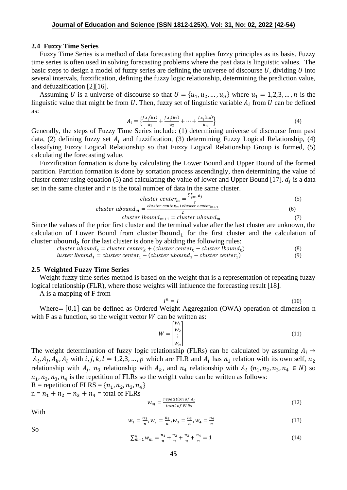### **2.4 Fuzzy Time Series**

Fuzzy Time Series is a method of data forecasting that applies fuzzy principles as its basis. Fuzzy time series is often used in solving forecasting problems where the past data is linguistic values. The basic steps to design a model of fuzzy series are defining the universe of discourse  $U$ , dividing  $U$  into several intervals, fuzzification, defining the fuzzy logic relationship, determining the prediction value, and defuzzification [2][16].

Assuming U is a universe of discourse so that  $U = \{u_1, u_2, ..., u_n\}$  where  $u_1 = 1, 2, 3, ..., n$  is the linguistic value that might be from U. Then, fuzzy set of linguistic variable  $A_i$  from U can be defined as:

$$
A_{i} = \left\{ \frac{f_{A_{i}}(u_{1})}{u_{1}} + \frac{f_{A_{i}}(u_{2})}{u_{2}} + \dots + \frac{f_{A_{i}}(u_{n})}{u_{n}} \right\}
$$
(4)

Generally, the steps of Fuzzy Time Series include: (1) determining universe of discourse from past data, (2) defining fuzzy set  $A_i$  and fuzzification, (3) determining Fuzzy Logical Relationship, (4) classifying Fuzzy Logical Relationship so that Fuzzy Logical Relationship Group is formed, (5) calculating the forecasting value.

Fuzzification formation is done by calculating the Lower Bound and Upper Bound of the formed partition. Partition formation is done by sortation process ascendingly, then determining the value of cluster center using equation (5) and calculating the value of lower and Upper Bound [17].  $d_j$  is a data set in the same cluster and  $r$  is the total number of data in the same cluster.

$$
cluster center_m = \frac{\sum_{j=1}^{r} d_j}{r}
$$
\n
$$
cluster center_m + cluster center_m + r
$$
\n(5)

$$
cluster \text{ }ubound_m = \frac{cluster \text{ } center_m + cluster \text{ } center_{m+1}}{2} \tag{6}
$$

$$
cluster\,lbound_{m+1} = cluster\,ubound_m\tag{7}
$$

Since the values of the prior first cluster and the terminal value after the last cluster are unknown, the calculation of Lower Bound from cluster lbound<sub>1</sub> for the first cluster and the calculation of cluster ubound<sub>k</sub> for the last cluster is done by abiding the following rules:

cluster ubound<sub>k</sub> = cluster center<sub>k</sub> + (cluster center<sub>k</sub> – cluster lbound<sub>k</sub>) ) (8) luster lbound<sub>1</sub> = cluster center<sub>1</sub> – (cluster ubound<sub>1</sub> – cluster center<sub>1</sub>) ) (9)

#### **2.5 Weighted Fuzzy Time Series**

Weight fuzzy time series method is based on the weight that is a representation of repeating fuzzy logical relationship (FLR), where those weights will influence the forecasting result [18].

A is a mapping of F from

$$
I^n = I \tag{10}
$$

Where= [0,1] can be defined as Ordered Weight Aggregation (OWA) operation of dimension n with F as a function, so the weight vector  $W$  can be written as:

$$
W = \begin{bmatrix} w_1 \\ w_2 \\ \vdots \\ w_n \end{bmatrix} \tag{11}
$$

The weight determination of fuzzy logic relationship (FLRs) can be calculated by assuming  $A_i \rightarrow$  $A_i, A_j, A_k, A_l$  with  $i, j, k, l = 1, 2, 3, ..., p$  which are FLR and  $A_i$  has  $n_1$  relation with its own self,  $n_2$ relationship with  $A_j$ ,  $n_3$  relationship with  $A_k$ , and  $n_4$  relationship with  $A_l$   $(n_1, n_2, n_3, n_4 \in N)$  so  $n_1$ ,  $n_2$ ,  $n_3$ ,  $n_4$  is the repetition of FLRs so the weight value can be written as follows:

R = repetition of FLRS = 
$$
\{n_1, n_2, n_3, n_4\}
$$
  
n =  $n_1 + n_2 + n_3 + n_4$  = total of FLRs

$$
w_m = \frac{repetition \space of \space A_i}{total \space of \space FLRs} \tag{12}
$$

With

So

$$
w_1 = \frac{n_1}{n}, w_2 = \frac{n_2}{n}, w_3 = \frac{n_3}{n}, w_4 = \frac{n_4}{n}
$$
 (13)

$$
\sum_{m=1}^{4} w_m = \frac{n_1}{n} + \frac{n_2}{n} + \frac{n_3}{n} + \frac{n_4}{n} = 1
$$
 (14)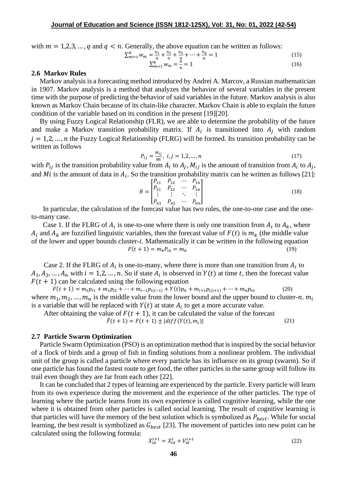with  $m = 1, 2, 3, \dots, q$  and  $q \le n$ . Generally, the above equation can be written as follows:

$$
\sum_{m=1}^{q} w_m = \frac{n_1}{n} + \frac{n_2}{n} + \frac{n_3}{n} + \dots + \frac{n_q}{n} = 1
$$
\n(15)

$$
\sum_{m=1}^{n} w_m = \frac{n}{n} = 1
$$
\n(16)

### **2.6 Markov Rules**

Markov analysis is a forecasting method introduced by Andrei A. Marcov, a Russian mathematician in 1907. Markov analysis is a method that analyzes the behavior of several variables in the present time with the purpose of predicting the behavior of said variables in the future. Markov analysis is also known as Markov Chain because of its chain-like character. Markov Chain is able to explain the future condition of the variable based on its condition in the present [19][20].

By using Fuzzy Logical Relationship (FLR), we are able to determine the probability of the future and make a Markov transition probability matrix. If  $A_i$  is transitioned into  $A_j$  with random  $j = 1,2,...,n$  the Fuzzy Logical Relationship (FLRG) will be formed. Its transition probability can be written as follows

$$
P_{ij} = \frac{M_{ij}}{Mi}, \ i, j = 1, 2, ..., n
$$
 (17)

with  $P_{ij}$  is the transition probability value from  $A_i$  to  $A_j$ ,  $M_{ij}$  is the amount of transition from  $A_i$  to  $A_j$ , and Mi is the amount of data in  $A_i$ . So the transition probability matrix can be written as follows [21]:

$$
R = \begin{bmatrix} P_{11} & P_{12} & \cdots & P_{1n} \\ P_{21} & P_{22} & \cdots & P_{2n} \\ \vdots & \vdots & \ddots & \vdots \\ P_{n1} & P_{n2} & \cdots & P_{nn} \end{bmatrix}
$$
 (18)

In particular, the calculation of the forecast value has two rules, the one-to-one case and the oneto-many case.

Case 1. If the FLRG of  $A_i$  is one-to-one where there is only one transition from  $A_i$  to  $A_k$ , where  $A_i$  and  $A_k$  are fuzzified linguistic variables, then the forecast value of  $F(t)$  is  $m_k$  (the middle value of the lower and upper bounds cluster- $i$ . Mathematically it can be written in the following equation  $F(t + 1) = m_k P_{ik} = m_k$  (19)

Case 2. If the FLRG of  $A_i$  is one-to-many, where there is more than one transition from  $A_i$  to  $A_1, A_2, ..., A_n$  with  $i = 1, 2, ..., n$ . So if state  $A_i$  is observed in  $Y(t)$  at time t, then the forecast value  $F(t + 1)$  can be calculated using the following equation

 $F(t + 1) = m_1 p_{i1} + m_1 p_{i2} + \dots + m_{i-1} p_{i(i-1)} + Y(t) p_{ii} + m_{i+1} p_{i(i+1)} + \dots + m_n p_{in}$  (20) where  $m_1, m_2, \ldots, m_n$  is the middle value from the lower bound and the upper bound to cluster-n.  $m_i$ is a variable that will be replaced with  $Y(t)$  at state  $A_i$  to get a more accurate value.

After obtaining the value of  $F(t + 1)$ , it can be calculated the value of the forecast

$$
\hat{F}(t+1) = F(t+1) \pm |diff(Y(t), m_i)|
$$
\n(21)

### **2.7 Particle Swarm Optimization**

Particle Swarm Optimization (PSO) is an optimization method that is inspired by the social behavior of a flock of birds and a group of fish in finding solutions from a nonlinear problem. The individual unit of the group is called a particle where every particle has its influence on its group (swarm). So if one particle has found the fastest route to get food, the other particles in the same group will follow its trail even though they are far from each other [22].

It can be concluded that 2 types of learning are experienced by the particle. Every particle will learn from its own experience during the movement and the experience of the other particles. The type of learning where the particle learns from its own experience is called cognitive learning, while the one where it is obtained from other particles is called social learning. The result of cognitive learning is that particles will have the memory of the best solution which is symbolized as  $P_{best}$ . While for social learning, the best result is symbolized as  $G_{best}$  [23]. The movement of particles into new point can be calculated using the following formula:

$$
X_{id}^{t+1} = X_{id}^t + V_{id}^{t+1}
$$
 (22)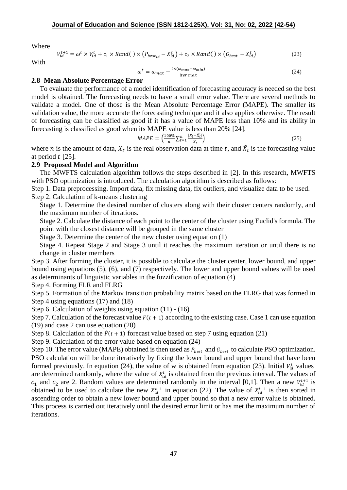Where

$$
V_{id}^{t+1} = \omega^t \times V_{id}^t + c_1 \times Rand() \times (P_{best_{id}} - X_{id}^t) + c_2 \times Rand() \times (G_{best} - X_{id}^t)
$$
 (23)

With

$$
\omega^t = \omega_{max} - \frac{t \times (\omega_{max} - \omega_{min})}{iter \, max} \tag{24}
$$

# **2.8 Mean Absolute Percentage Error**

To evaluate the performance of a model identification of forecasting accuracy is needed so the best model is obtained. The forecasting needs to have a small error value. There are several methods to validate a model. One of those is the Mean Absolute Percentage Error (MAPE). The smaller its validation value, the more accurate the forecasting technique and it also applies otherwise. The result of forecasting can be classified as good if it has a value of MAPE less than 10% and its ability in forecasting is classified as good when its MAPE value is less than 20% [24].

$$
MAPE = \left(\frac{100\%}{n} \sum_{t=1}^{n} \frac{|X_t - \widehat{X_t}|}{X_t}\right)
$$
\n<sup>(25)</sup>

where *n* is the amount of data,  $X_t$  is the real observation data at time *t*, and  $\widehat{X}_t$  is the forecasting value at period  $t$  [25].

# **2.9 Proposed Model and Algorithm**

The MWFTS calculation algorithm follows the steps described in [2]. In this research, MWFTS with PSO optimization is introduced. The calculation algorithm is described as follows:

Step 1. Data preprocessing. Import data, fix missing data, fix outliers, and visualize data to be used. Step 2. Calculation of k-means clustering

Stage 1. Determine the desired number of clusters along with their cluster centers randomly, and the maximum number of iterations.

Stage 2. Calculate the distance of each point to the center of the cluster using Euclid's formula. The point with the closest distance will be grouped in the same cluster

Stage 3. Determine the center of the new cluster using equation (1)

Stage 4. Repeat Stage 2 and Stage 3 until it reaches the maximum iteration or until there is no change in cluster members

Step 3. After forming the cluster, it is possible to calculate the cluster center, lower bound, and upper bound using equations (5), (6), and (7) respectively. The lower and upper bound values will be used as determinants of linguistic variables in the fuzzification of equation (4)

Step 4. Forming FLR and FLRG

Step 5. Formation of the Markov transition probability matrix based on the FLRG that was formed in Step 4 using equations (17) and (18)

Step 6. Calculation of weights using equation (11) - (16)

Step 7. Calculation of the forecast value  $F(t + 1)$  according to the existing case. Case 1 can use equation (19) and case 2 can use equation (20)

Step 8. Calculation of the  $\hat{F}(t + 1)$  forecast value based on step 7 using equation (21)

Step 9. Calculation of the error value based on equation (24)

Step 10. The error value (MAPE) obtained is then used as  $P_{best}$  and  $G_{best}$  to calculate PSO optimization. PSO calculation will be done iteratively by fixing the lower bound and upper bound that have been formed previously. In equation (24), the value of w is obtained from equation (23). Initial  $V_{id}^t$  values are determined randomly, where the value of  $X_{id}^t$  is obtained from the previous interval. The values of  $c_1$  and  $c_2$  are 2. Random values are determined randomly in the interval [0,1]. Then a new  $V_{id}^{t+1}$  is obtained to be used to calculate the new  $X_{id}^{t+1}$  in equation (22). The value of  $X_{id}^{t+1}$  is then sorted in ascending order to obtain a new lower bound and upper bound so that a new error value is obtained. This process is carried out iteratively until the desired error limit or has met the maximum number of iterations.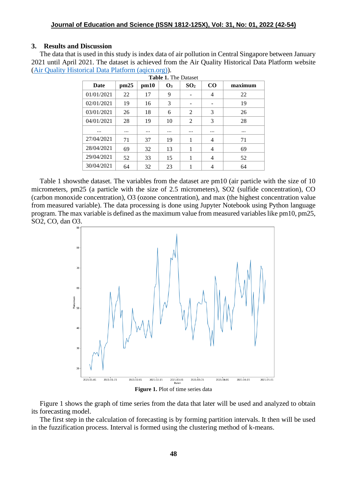## **3. Results and Discussion**

The data that is used in this study is index data of air pollution in Central Singapore between January 2021 until April 2021. The dataset is achieved from the Air Quality Historical Data Platform website [\(Air Quality Historical Data Platform \(aqicn.org\)\)](https://aqicn.org/data-platform/register/).

| Date       | pm25     | pm10     | $\mathbf{O}_3$ | SO <sub>2</sub> | CO       | maximum  |
|------------|----------|----------|----------------|-----------------|----------|----------|
| 01/01/2021 | 22       | 17       | 9              |                 | 4        | 22       |
| 02/01/2021 | 19       | 16       | 3              | -               | -        | 19       |
| 03/01/2021 | 26       | 18       | 6              | 2               | 3        | 26       |
| 04/01/2021 | 28       | 19       | 10             | 2               | 3        | 28       |
|            | $\cdots$ | $\cdots$ | $\cdots$       |                 | $\cdots$ | $\cdots$ |
| 27/04/2021 | 71       | 37       | 19             | 1               | 4        | 71       |
| 28/04/2021 | 69       | 32       | 13             | 1               | 4        | 69       |
| 29/04/2021 | 52       | 33       | 15             | 1               | 4        | 52       |
| 30/04/2021 | 64       | 32       | 23             |                 | 4        | 64       |

Table 1 showsthe dataset. The variables from the dataset are pm10 (air particle with the size of 10 micrometers, pm25 (a particle with the size of 2.5 micrometers), SO2 (sulfide concentration), CO (carbon monoxide concentration), O3 (ozone concentration), and max (the highest concentration value from measured variable). The data processing is done using Jupyter Notebook using Python language program. The max variable is defined as the maximum value from measured variables like pm10, pm25, SO2, CO, dan O3.



**Figure 1.** Plot of time series data

Figure 1 shows the graph of time series from the data that later will be used and analyzed to obtain its forecasting model.

The first step in the calculation of forecasting is by forming partition intervals. It then will be used in the fuzzification process. Interval is formed using the clustering method of k-means.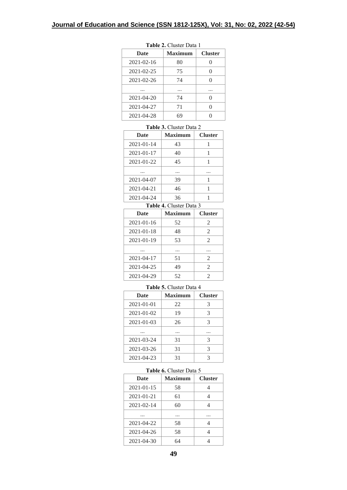| <b>Date</b>      | <b>Maximum</b> | <b>Cluster</b> |
|------------------|----------------|----------------|
| $2021 - 02 - 16$ | 80             |                |
| 2021-02-25       | 75             | 0              |
| $2021 - 02 - 26$ | 74             | 0              |
|                  |                |                |
| $2021 - 04 - 20$ | 74             | 0              |
| 2021-04-27       | 71             |                |
| 2021-04-28       | 69             |                |

**Table 2.** Cluster Data 1

#### **Table 3.** Cluster Data 2

| <b>Date</b>      | <b>Maximum</b> | <b>Cluster</b> |
|------------------|----------------|----------------|
| $2021 - 01 - 14$ | 43             |                |
| 2021-01-17       | 40             |                |
| 2021-01-22       | 45             |                |
|                  |                | .              |
| $2021 - 04 - 07$ | 39             |                |
| 2021-04-21       | 46             |                |
| 2021-04-24       | 36             |                |

#### **Table 4.** Cluster Data 3

| Date       | <b>Maximum</b> | <b>Cluster</b> |
|------------|----------------|----------------|
| 2021-01-16 | 52             | 2              |
| 2021-01-18 | 48             | 2              |
| 2021-01-19 | 53             | 2              |
|            | .              | .              |
| 2021-04-17 | 51             | 2              |
| 2021-04-25 | 49             | $\mathfrak{D}$ |
| 2021-04-29 | 52             | 2              |

#### **Table 5.** Cluster Data 4

| Date       | Maximum | <b>Cluster</b> |
|------------|---------|----------------|
| 2021-01-01 | 22      | 3              |
| 2021-01-02 | 19      | 3              |
| 2021-01-03 | 26      | 3              |
|            |         |                |
| 2021-03-24 | 31      | 3              |
| 2021-03-26 | 31      | 3              |
| 2021-04-23 | 31      |                |

#### **Table 6.** Cluster Data 5

| Date             | Maximum | <b>Cluster</b> |
|------------------|---------|----------------|
| 2021-01-15       | 58      |                |
| 2021-01-21       | 61      |                |
| $2021 - 02 - 14$ | 60      | Δ              |
|                  |         |                |
| 2021-04-22       | 58      |                |
| 2021-04-26       | 58      | 4              |
| 2021-04-30       | 64      |                |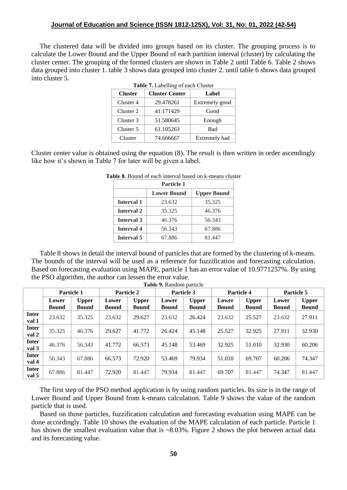### **Journal of Education and Science (ISSN 1812-125X), Vol: 31, No: 01, 2022 (42-54)**

The clustered data will be divided into groups based on its cluster. The grouping process is to calculate the Lower Bound and the Upper Bound of each partition interval (cluster) by calculating the cluster center. The grouping of the formed clusters are shown in Table 2 until Table 6. Table 2 shows data grouped into cluster 1. table 3 shows data grouped into cluster 2. until table 6 shows data grouped into cluster 5.  $T_{\text{ab}}$ **Labelling of each Cluster** 

| <b>Table 7.</b> Labelling of each Cluster |                       |                |  |  |  |  |
|-------------------------------------------|-----------------------|----------------|--|--|--|--|
| <b>Cluster</b>                            | <b>Cluster Center</b> | Label          |  |  |  |  |
| Cluster 4                                 | 29.478261             | Extremely good |  |  |  |  |
| Cluster 2                                 | 41.171429             | Good           |  |  |  |  |
| Cluster 3                                 | 51.580645             | Enough         |  |  |  |  |
| Cluster 5                                 | 61.105263             | Bad            |  |  |  |  |
| Cluster                                   | 74.666667             | Extremely bad  |  |  |  |  |

Cluster center value is obtained using the equation (8). The result is then written in order ascendingly like how it's shown in Table 7 for later will be given a label.

| Particle 1        |                    |                    |  |  |  |  |  |
|-------------------|--------------------|--------------------|--|--|--|--|--|
|                   | <b>Lower Bound</b> | <b>Upper Bound</b> |  |  |  |  |  |
| <b>Interval 1</b> | 23.632             | 35.325             |  |  |  |  |  |
| <b>Interval 2</b> | 35.325             | 46.376             |  |  |  |  |  |
| <b>Interval 3</b> | 46.376             | 56.343             |  |  |  |  |  |
| Interval 4        | 56.343             | 67.886             |  |  |  |  |  |
| <b>Interval 5</b> | 67.886             | 81.447             |  |  |  |  |  |

|  |  |  | <b>Table 8.</b> Bound of each interval based on k-means cluster |  |
|--|--|--|-----------------------------------------------------------------|--|
|  |  |  |                                                                 |  |

Table 8 shows in detail the interval bound of particles that are formed by the clustering of k-means. The bounds of the interval will be used as a reference for fuzzification and forecasting calculation. Based on forecasting evaluation using MAPE, particle 1 has an error value of 10.9771257%. By using the PSO algorithm, the author can lessen the error value. **Table 9.** Random particle

|                       | Particle 1            |                              | Particle 2            |                              | Particle 3            |                              | Particle 4            |                              | Particle 5            |                              |
|-----------------------|-----------------------|------------------------------|-----------------------|------------------------------|-----------------------|------------------------------|-----------------------|------------------------------|-----------------------|------------------------------|
|                       | Lower<br><b>Bound</b> | <b>Upper</b><br><b>Bound</b> | Lower<br><b>Bound</b> | <b>Upper</b><br><b>Bound</b> | Lower<br><b>Bound</b> | <b>Upper</b><br><b>Bound</b> | Lower<br><b>Bound</b> | <b>Upper</b><br><b>Bound</b> | Lower<br><b>Bound</b> | <b>Upper</b><br><b>Bound</b> |
| <b>Inter</b><br>val 1 | 23.632                | 35.325                       | 23.632                | 29.627                       | 23.632                | 26.424                       | 23.632                | 25.527                       | 23.632                | 27.911                       |
| <b>Inter</b><br>val 2 | 35.325                | 46.376                       | 29.627                | 41.772                       | 26.424                | 45.148                       | 25.527                | 32.925                       | 27.911                | 32.930                       |
| <b>Inter</b><br>val 3 | 46.376                | 56.343                       | 41.772                | 66.573                       | 45.148                | 53.469                       | 32.925                | 51.010                       | 32.930                | 60.206                       |
| <b>Inter</b><br>val 4 | 56.343                | 67.886                       | 66.573                | 72.920                       | 53.469                | 79.934                       | 51.010                | 69.707                       | 60.206                | 74.347                       |
| <b>Inter</b><br>val 5 | 67.886                | 81.447                       | 72.920                | 81.447                       | 79.934                | 81.447                       | 69.707                | 81.447                       | 74.347                | 81.447                       |

The first step of the PSO method application is by using random particles. Its size is in the range of Lower Bound and Upper Bound from k-means calculation. Table 9 shows the value of the random particle that is used.

Based on those particles, fuzzification calculation and forecasting evaluation using MAPE can be done accordingly. Table 10 shows the evaluation of the MAPE calculation of each particle. Particle 1 has shown the smallest evaluation value that is ~8.03%. Figure 2 shows the plot between actual data and its forecasting value.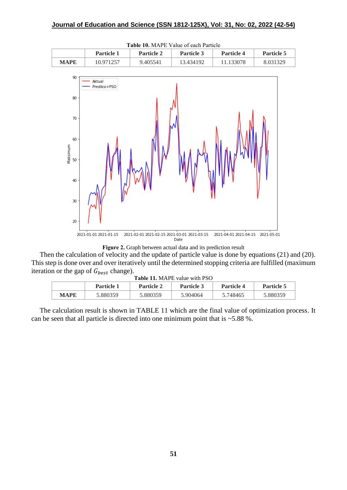

**Table 10.** MAPE Value of each Particle



Then the calculation of velocity and the update of particle value is done by equations (21) and (20). This step is done over and over iteratively until the determined stopping criteria are fulfilled (maximum iteration or the gap of  $G_{best}$  change). **11.** MAPE value with PSO

| <b>LADIC 11.</b> MALL VARIC WILL FOO |                   |                   |                   |                   |            |  |  |  |  |
|--------------------------------------|-------------------|-------------------|-------------------|-------------------|------------|--|--|--|--|
|                                      | <b>Particle 1</b> | <b>Particle 2</b> | <b>Particle 3</b> | <b>Particle 4</b> | Particle 5 |  |  |  |  |
| MAPE                                 | 5.880359          | 5.880359          | 5.904064          | 5.748465          | 5.880359   |  |  |  |  |

The calculation result is shown in TABLE 11 which are the final value of optimization process. It can be seen that all particle is directed into one minimum point that is  $~5.88~\%$ .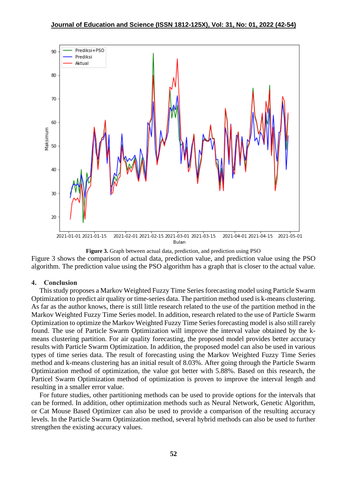

**Figure 3.** Graph between actual data, prediction, and prediction using PSO

Figure 3 shows the comparison of actual data, prediction value, and prediction value using the PSO algorithm. The prediction value using the PSO algorithm has a graph that is closer to the actual value.

# **4. Conclusion**

This study proposes a Markov Weighted Fuzzy Time Series forecasting model using Particle Swarm Optimization to predict air quality or time-series data. The partition method used is k-means clustering. As far as the author knows, there is still little research related to the use of the partition method in the Markov Weighted Fuzzy Time Series model. In addition, research related to the use of Particle Swarm Optimization to optimize the Markov Weighted Fuzzy Time Series forecasting model is also still rarely found. The use of Particle Swarm Optimization will improve the interval value obtained by the kmeans clustering partition. For air quality forecasting, the proposed model provides better accuracy results with Particle Swarm Optimization. In addition, the proposed model can also be used in various types of time series data. The result of forecasting using the Markov Weighted Fuzzy Time Series method and k-means clustering has an initial result of 8.03%. After going through the Particle Swarm Optimization method of optimization, the value got better with 5.88%. Based on this research, the Particel Swarm Optimization method of optimization is proven to improve the interval length and resulting in a smaller error value.

For future studies, other partitioning methods can be used to provide options for the intervals that can be formed. In addition, other optimization methods such as Neural Network, Genetic Algorithm, or Cat Mouse Based Optimizer can also be used to provide a comparison of the resulting accuracy levels. In the Particle Swarm Optimization method, several hybrid methods can also be used to further strengthen the existing accuracy values.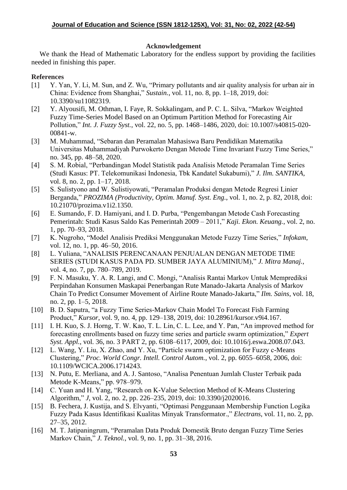# **Acknowledgement**

We thank the Head of Mathematic Laboratory for the endless support by providing the facilities needed in finishing this paper.

# **References**

- [1] Y. Yan, Y. Li, M. Sun, and Z. Wu, "Primary pollutants and air quality analysis for urban air in China: Evidence from Shanghai," *Sustain.*, vol. 11, no. 8, pp. 1–18, 2019, doi: 10.3390/su11082319.
- [2] Y. Alyousifi, M. Othman, I. Faye, R. Sokkalingam, and P. C. L. Silva, "Markov Weighted Fuzzy Time-Series Model Based on an Optimum Partition Method for Forecasting Air Pollution," *Int. J. Fuzzy Syst.*, vol. 22, no. 5, pp. 1468–1486, 2020, doi: 10.1007/s40815-020- 00841-w.
- [3] M. Muhammad, "Sebaran dan Peramalan Mahasiswa Baru Pendidikan Matematika Universitas Muhammadiyah Purwokerto Dengan Metode Time Invariant Fuzzy Time Series," no. 345, pp. 48–58, 2020.
- [4] S. M. Robial, "Perbandingan Model Statistik pada Analisis Metode Peramalan Time Series (Studi Kasus: PT. Telekomunikasi Indonesia, Tbk Kandatel Sukabumi)," *J. Ilm. SANTIKA*, vol. 8, no. 2, pp. 1–17, 2018.
- [5] S. Sulistyono and W. Sulistiyowati, "Peramalan Produksi dengan Metode Regresi Linier Berganda," *PROZIMA (Productivity, Optim. Manuf. Syst. Eng.*, vol. 1, no. 2, p. 82, 2018, doi: 10.21070/prozima.v1i2.1350.
- [6] E. Sumando, F. D. Hamiyani, and I. D. Purba, "Pengembangan Metode Cash Forecasting Pemerintah: Studi Kasus Saldo Kas Pemerintah 2009 – 2011," *Kaji. Ekon. Keuang.*, vol. 2, no. 1, pp. 70–93, 2018.
- [7] K. Nugroho, "Model Analisis Prediksi Menggunakan Metode Fuzzy Time Series," *Infokam*, vol. 12, no. 1, pp. 46–50, 2016.
- [8] L. Yuliana, "ANALISIS PERENCANAAN PENJUALAN DENGAN METODE TIME SERIES (STUDI KASUS PADA PD. SUMBER JAYA ALUMINIUM)," *J. Mitra Manaj.*, vol. 4, no. 7, pp. 780–789, 2019.
- [9] F. N. Masuku, Y. A. R. Langi, and C. Mongi, "Analisis Rantai Markov Untuk Memprediksi Perpindahan Konsumen Maskapai Penerbangan Rute Manado-Jakarta Analysis of Markov Chain To Predict Consumer Movement of Airline Route Manado-Jakarta," *Ilm. Sains*, vol. 18, no. 2, pp. 1–5, 2018.
- [10] B. D. Saputra, "a Fuzzy Time Series-Markov Chain Model To Forecast Fish Farming Product," *Kursor*, vol. 9, no. 4, pp. 129–138, 2019, doi: 10.28961/kursor.v9i4.167.
- [11] I. H. Kuo, S. J. Horng, T. W. Kao, T. L. Lin, C. L. Lee, and Y. Pan, "An improved method for forecasting enrollments based on fuzzy time series and particle swarm optimization," *Expert Syst. Appl.*, vol. 36, no. 3 PART 2, pp. 6108–6117, 2009, doi: 10.1016/j.eswa.2008.07.043.
- [12] L. Wang, Y. Liu, X. Zhao, and Y. Xu, "Particle swarm optimization for Fuzzy c-Means Clustering," *Proc. World Congr. Intell. Control Autom.*, vol. 2, pp. 6055–6058, 2006, doi: 10.1109/WCICA.2006.1714243.
- [13] N. Putu, E. Merliana, and A. J. Santoso, "Analisa Penentuan Jumlah Cluster Terbaik pada Metode K-Means," pp. 978–979.
- [14] C. Yuan and H. Yang, "Research on K-Value Selection Method of K-Means Clustering Algorithm," *J*, vol. 2, no. 2, pp. 226–235, 2019, doi: 10.3390/j2020016.
- [15] B. Fechera, J. Kustija, and S. Elvyanti, "Optimasi Penggunaan Membership Function Logika Fuzzy Pada Kasus Identifikasi Kualitas Minyak Transformator.," *Electrans*, vol. 11, no. 2, pp. 27–35, 2012.
- [16] M. T. Jatipaningrum, "Peramalan Data Produk Domestik Bruto dengan Fuzzy Time Series Markov Chain," *J. Teknol.*, vol. 9, no. 1, pp. 31–38, 2016.